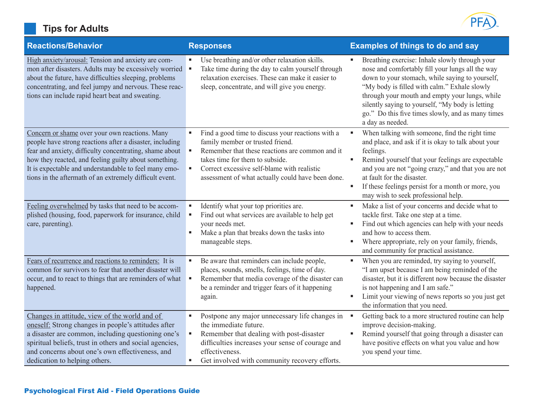|  |  | <b>Tips for Adults</b> |  |
|--|--|------------------------|--|
|--|--|------------------------|--|



| <b>Reactions/Behavior</b>                                                                                                                                                                                                                                                                                                                          | <b>Responses</b>                                                                                                                                                                                                                                                                | <b>Examples of things to do and say</b>                                                                                                                                                                                                                                                                                                                                              |
|----------------------------------------------------------------------------------------------------------------------------------------------------------------------------------------------------------------------------------------------------------------------------------------------------------------------------------------------------|---------------------------------------------------------------------------------------------------------------------------------------------------------------------------------------------------------------------------------------------------------------------------------|--------------------------------------------------------------------------------------------------------------------------------------------------------------------------------------------------------------------------------------------------------------------------------------------------------------------------------------------------------------------------------------|
| High anxiety/arousal: Tension and anxiety are com-<br>mon after disasters. Adults may be excessively worried<br>about the future, have difficulties sleeping, problems<br>concentrating, and feel jumpy and nervous. These reac-<br>tions can include rapid heart beat and sweating.                                                               | Use breathing and/or other relaxation skills.<br>Take time during the day to calm yourself through<br>relaxation exercises. These can make it easier to<br>sleep, concentrate, and will give you energy.                                                                        | Breathing exercise: Inhale slowly through your<br>nose and comfortably fill your lungs all the way<br>down to your stomach, while saying to yourself,<br>"My body is filled with calm." Exhale slowly<br>through your mouth and empty your lungs, while<br>silently saying to yourself, "My body is letting<br>go." Do this five times slowly, and as many times<br>a day as needed. |
| Concern or shame over your own reactions. Many<br>people have strong reactions after a disaster, including<br>fear and anxiety, difficulty concentrating, shame about<br>how they reacted, and feeling guilty about something.<br>It is expectable and understandable to feel many emo-<br>tions in the aftermath of an extremely difficult event. | Find a good time to discuss your reactions with a<br>family member or trusted friend.<br>Remember that these reactions are common and it<br>takes time for them to subside.<br>Correct excessive self-blame with realistic<br>assessment of what actually could have been done. | When talking with someone, find the right time<br>and place, and ask if it is okay to talk about your<br>feelings.<br>Remind yourself that your feelings are expectable<br>and you are not "going crazy," and that you are not<br>at fault for the disaster.<br>If these feelings persist for a month or more, you<br>may wish to seek professional help.                            |
| Feeling overwhelmed by tasks that need to be accom-<br>plished (housing, food, paperwork for insurance, child<br>care, parenting).                                                                                                                                                                                                                 | Identify what your top priorities are.<br>Find out what services are available to help get<br>your needs met.<br>Make a plan that breaks down the tasks into<br>manageable steps.                                                                                               | Make a list of your concerns and decide what to<br>٠<br>tackle first. Take one step at a time.<br>Find out which agencies can help with your needs<br>and how to access them.<br>Where appropriate, rely on your family, friends,<br>and community for practical assistance.                                                                                                         |
| Fears of recurrence and reactions to reminders: It is<br>common for survivors to fear that another disaster will<br>occur, and to react to things that are reminders of what<br>happened.                                                                                                                                                          | Be aware that reminders can include people,<br>places, sounds, smells, feelings, time of day.<br>Remember that media coverage of the disaster can<br>be a reminder and trigger fears of it happening<br>again.                                                                  | When you are reminded, try saying to yourself,<br>٠<br>"I am upset because I am being reminded of the<br>disaster, but it is different now because the disaster<br>is not happening and I am safe."<br>Limit your viewing of news reports so you just get<br>٠<br>the information that you need.                                                                                     |
| Changes in attitude, view of the world and of<br>oneself: Strong changes in people's attitudes after<br>a disaster are common, including questioning one's<br>spiritual beliefs, trust in others and social agencies,<br>and concerns about one's own effectiveness, and<br>dedication to helping others.                                          | Postpone any major unnecessary life changes in<br>٠<br>the immediate future.<br>Remember that dealing with post-disaster<br>difficulties increases your sense of courage and<br>effectiveness.<br>Get involved with community recovery efforts.                                 | Getting back to a more structured routine can help<br>improve decision-making.<br>Remind yourself that going through a disaster can<br>٠<br>have positive effects on what you value and how<br>you spend your time.                                                                                                                                                                  |